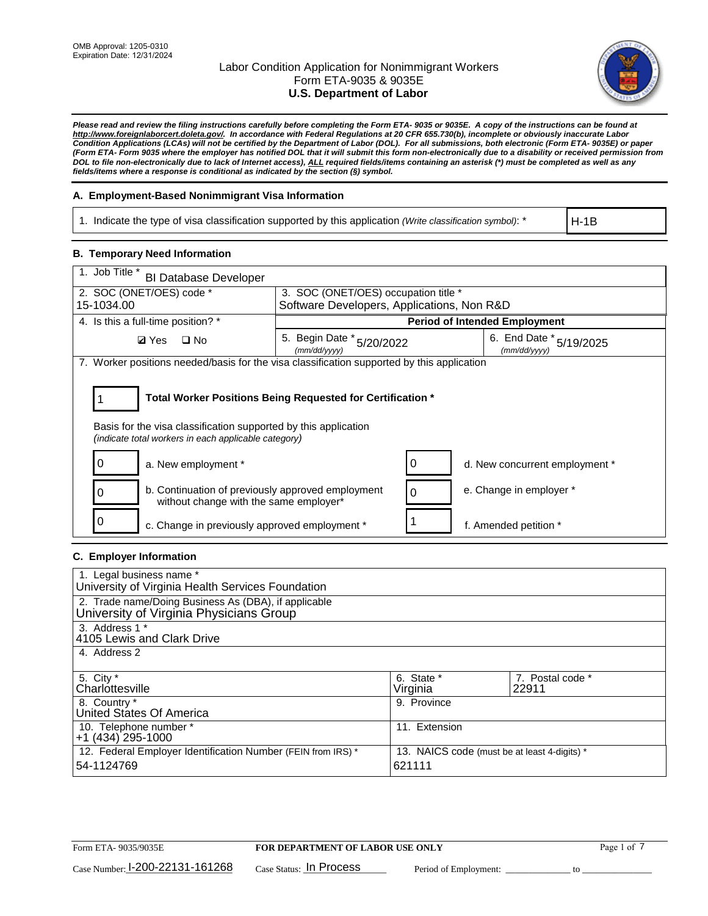

*Please read and review the filing instructions carefully before completing the Form ETA- 9035 or 9035E. A copy of the instructions can be found at [http://www.foreignlaborcert.doleta.gov/.](http://www.foreignlaborcert.doleta.gov/) In accordance with Federal Regulations at 20 CFR 655.730(b), incomplete or obviously inaccurate Labor Condition Applications (LCAs) will not be certified by the Department of Labor (DOL). For all submissions, both electronic (Form ETA- 9035E) or paper (Form ETA- Form 9035 where the employer has notified DOL that it will submit this form non-electronically due to a disability or received permission from DOL to file non-electronically due to lack of Internet access), ALL required fields/items containing an asterisk (\*) must be completed as well as any fields/items where a response is conditional as indicated by the section (§) symbol.* 

### **A. Employment-Based Nonimmigrant Visa Information**

1. Indicate the type of visa classification supported by this application *(Write classification symbol)*: \*

H-1B

### **B. Temporary Need Information**

| 1. Job Title *<br><b>BI Database Developer</b>                                                                                                                                        |                                            |                                             |
|---------------------------------------------------------------------------------------------------------------------------------------------------------------------------------------|--------------------------------------------|---------------------------------------------|
| 2. SOC (ONET/OES) code *                                                                                                                                                              | 3. SOC (ONET/OES) occupation title *       |                                             |
| 15-1034.00                                                                                                                                                                            | Software Developers, Applications, Non R&D |                                             |
| 4. Is this a full-time position? *                                                                                                                                                    |                                            | <b>Period of Intended Employment</b>        |
| <b>Ø</b> Yes<br>$\Box$ No                                                                                                                                                             | 5. Begin Date * 5/20/2022<br>(mm/dd/yyyy)  | 6. End Date $*_{5/19/2025}$<br>(mm/dd/yyyy) |
| 7. Worker positions needed/basis for the visa classification supported by this application                                                                                            |                                            |                                             |
| Total Worker Positions Being Requested for Certification *<br>Basis for the visa classification supported by this application<br>(indicate total workers in each applicable category) |                                            |                                             |
| 0<br>a. New employment *                                                                                                                                                              |                                            | d. New concurrent employment *              |
| b. Continuation of previously approved employment<br>without change with the same employer*                                                                                           |                                            | e. Change in employer *                     |
| 0<br>c. Change in previously approved employment *                                                                                                                                    |                                            | f. Amended petition *                       |

# **C. Employer Information**

| 1. Legal business name *                                                                        |                                              |                  |
|-------------------------------------------------------------------------------------------------|----------------------------------------------|------------------|
| University of Virginia Health Services Foundation                                               |                                              |                  |
| 2. Trade name/Doing Business As (DBA), if applicable<br>University of Virginia Physicians Group |                                              |                  |
| 3. Address 1 *                                                                                  |                                              |                  |
| 4105 Lewis and Clark Drive                                                                      |                                              |                  |
| 4. Address 2                                                                                    |                                              |                  |
|                                                                                                 |                                              |                  |
| 5. City *                                                                                       | 6. State *                                   | 7. Postal code * |
| Charlottesville                                                                                 | Virginia                                     | 22911            |
| 8. Country *                                                                                    | 9. Province                                  |                  |
| United States Of America                                                                        |                                              |                  |
| 10. Telephone number *                                                                          | 11. Extension                                |                  |
| $+1$ (434) 295-1000                                                                             |                                              |                  |
| 12. Federal Employer Identification Number (FEIN from IRS) *                                    | 13. NAICS code (must be at least 4-digits) * |                  |
| 54-1124769                                                                                      | 621111                                       |                  |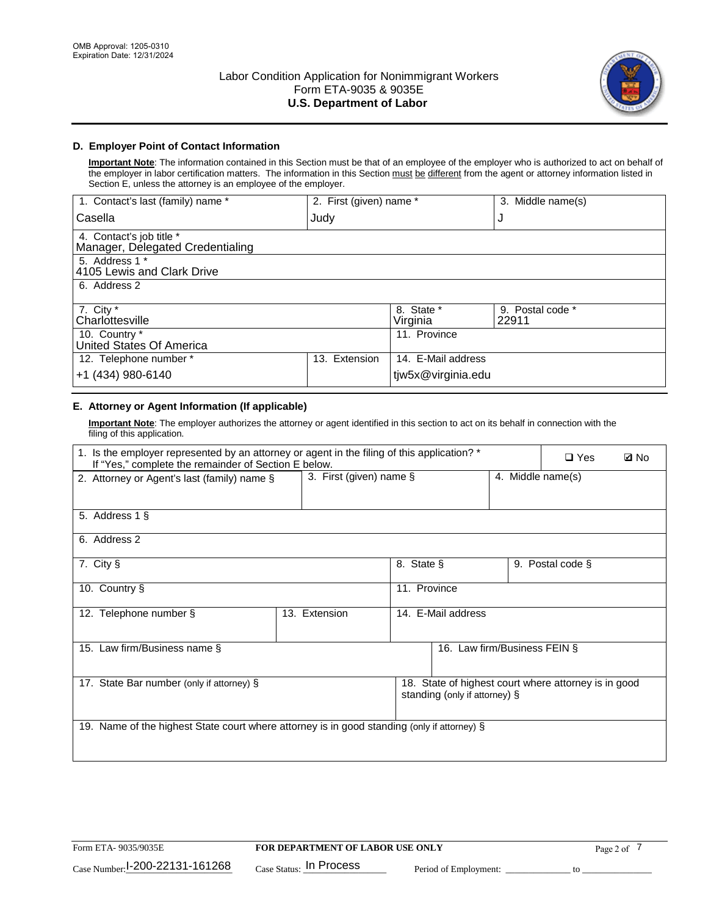

# **D. Employer Point of Contact Information**

**Important Note**: The information contained in this Section must be that of an employee of the employer who is authorized to act on behalf of the employer in labor certification matters. The information in this Section must be different from the agent or attorney information listed in Section E, unless the attorney is an employee of the employer.

| 1. Contact's last (family) name *                            | 2. First (given) name * |                        | 3. Middle name(s)         |
|--------------------------------------------------------------|-------------------------|------------------------|---------------------------|
| Casella                                                      | Judy                    |                        | J                         |
| 4. Contact's job title *<br>Manager, Delegated Credentialing |                         |                        |                           |
| 5. Address 1 *<br>4105 Lewis and Clark Drive                 |                         |                        |                           |
| 6. Address 2                                                 |                         |                        |                           |
| 7. City $*$<br>Charlottesville                               |                         | 8. State *<br>Virginia | 9. Postal code *<br>22911 |
| 10. Country *<br>United States Of America                    |                         | 11. Province           |                           |
| 12. Telephone number *                                       | Extension<br>13.        | 14. E-Mail address     |                           |
| +1 (434) 980-6140                                            |                         | tjw5x@virginia.edu     |                           |

# **E. Attorney or Agent Information (If applicable)**

**Important Note**: The employer authorizes the attorney or agent identified in this section to act on its behalf in connection with the filing of this application.

| 1. Is the employer represented by an attorney or agent in the filing of this application? *<br>If "Yes," complete the remainder of Section E below. |                         |              |                               |                   | $\square$ Yes                                        | <b>ØNo</b> |
|-----------------------------------------------------------------------------------------------------------------------------------------------------|-------------------------|--------------|-------------------------------|-------------------|------------------------------------------------------|------------|
| 2. Attorney or Agent's last (family) name §                                                                                                         | 3. First (given) name § |              |                               | 4. Middle name(s) |                                                      |            |
| 5. Address 1 §                                                                                                                                      |                         |              |                               |                   |                                                      |            |
| 6. Address 2                                                                                                                                        |                         |              |                               |                   |                                                      |            |
| 7. City §                                                                                                                                           |                         | 8. State §   |                               |                   | 9. Postal code §                                     |            |
| 10. Country §                                                                                                                                       |                         | 11. Province |                               |                   |                                                      |            |
| 12. Telephone number §                                                                                                                              | 13. Extension           |              | 14. E-Mail address            |                   |                                                      |            |
| 15. Law firm/Business name §                                                                                                                        |                         |              | 16. Law firm/Business FEIN §  |                   |                                                      |            |
| 17. State Bar number (only if attorney) §                                                                                                           |                         |              | standing (only if attorney) § |                   | 18. State of highest court where attorney is in good |            |
| 19. Name of the highest State court where attorney is in good standing (only if attorney) §                                                         |                         |              |                               |                   |                                                      |            |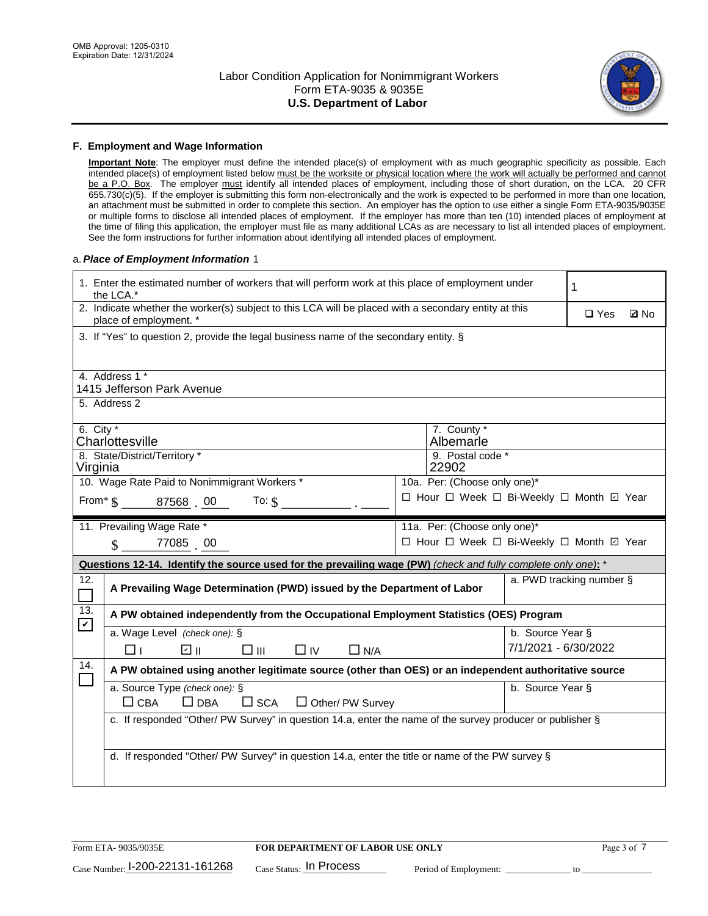

### **F. Employment and Wage Information**

**Important Note**: The employer must define the intended place(s) of employment with as much geographic specificity as possible. Each intended place(s) of employment listed below must be the worksite or physical location where the work will actually be performed and cannot be a P.O. Box. The employer must identify all intended places of employment, including those of short duration, on the LCA. 20 CFR 655.730(c)(5). If the employer is submitting this form non-electronically and the work is expected to be performed in more than one location, an attachment must be submitted in order to complete this section. An employer has the option to use either a single Form ETA-9035/9035E or multiple forms to disclose all intended places of employment. If the employer has more than ten (10) intended places of employment at the time of filing this application, the employer must file as many additional LCAs as are necessary to list all intended places of employment. See the form instructions for further information about identifying all intended places of employment.

### a.*Place of Employment Information* 1

| 1. Enter the estimated number of workers that will perform work at this place of employment under<br>the LCA.*                 | 1                            |
|--------------------------------------------------------------------------------------------------------------------------------|------------------------------|
| 2. Indicate whether the worker(s) subject to this LCA will be placed with a secondary entity at this<br>place of employment. * | $\square$ Yes<br><b>Z</b> No |
| 3. If "Yes" to question 2, provide the legal business name of the secondary entity. §                                          |                              |
| 4. Address 1 *                                                                                                                 |                              |
| 1415 Jefferson Park Avenue                                                                                                     |                              |
| 5. Address 2                                                                                                                   |                              |
| 6. City $*$<br>7. County *<br>Albemarle<br>Charlottesville                                                                     |                              |
| 8. State/District/Territory *<br>9. Postal code *                                                                              |                              |
| 22902<br>Virginia                                                                                                              |                              |
| 10. Wage Rate Paid to Nonimmigrant Workers *<br>10a. Per: (Choose only one)*                                                   |                              |
| □ Hour □ Week □ Bi-Weekly □ Month ☑ Year<br>From* \$ 87568 00<br>To: $$$                                                       |                              |
| 11. Prevailing Wage Rate *<br>11a. Per: (Choose only one)*                                                                     |                              |
| □ Hour □ Week □ Bi-Weekly □ Month ☑ Year<br>77085 00                                                                           |                              |
|                                                                                                                                |                              |
| Questions 12-14. Identify the source used for the prevailing wage (PW) (check and fully complete only one): *                  |                              |
| 12.<br>A Prevailing Wage Determination (PWD) issued by the Department of Labor<br>$\Box$                                       | a. PWD tracking number §     |
| 13.<br>A PW obtained independently from the Occupational Employment Statistics (OES) Program                                   |                              |
| $\mathbf v$<br>a. Wage Level (check one): §                                                                                    | b. Source Year §             |
| பெ<br>□⊪<br>$\Box$ N/A<br>□⊥<br>$\Box$ IV                                                                                      | 7/1/2021 - 6/30/2022         |
| 14.<br>A PW obtained using another legitimate source (other than OES) or an independent authoritative source                   |                              |
| a. Source Type (check one): §                                                                                                  | b. Source Year §             |
| $\Box$ CBA<br>$\Box$ DBA<br>$\square$ SCA<br>$\Box$ Other/ PW Survey                                                           |                              |
| c. If responded "Other/ PW Survey" in question 14.a, enter the name of the survey producer or publisher §                      |                              |
|                                                                                                                                |                              |
| d. If responded "Other/ PW Survey" in question 14.a, enter the title or name of the PW survey §                                |                              |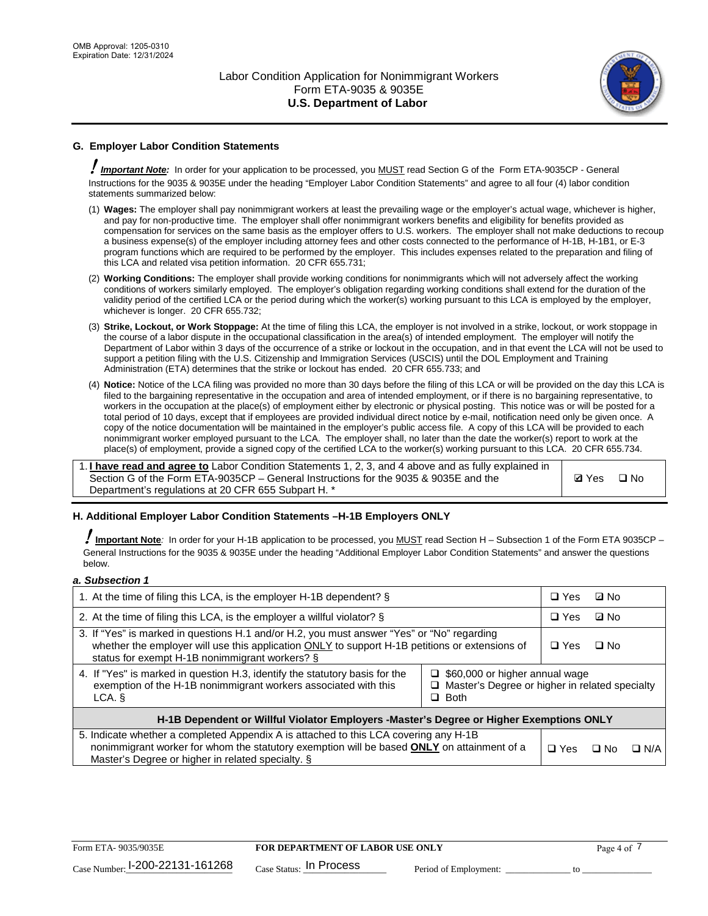

# **G. Employer Labor Condition Statements**

! *Important Note:* In order for your application to be processed, you MUST read Section G of the Form ETA-9035CP - General Instructions for the 9035 & 9035E under the heading "Employer Labor Condition Statements" and agree to all four (4) labor condition statements summarized below:

- (1) **Wages:** The employer shall pay nonimmigrant workers at least the prevailing wage or the employer's actual wage, whichever is higher, and pay for non-productive time. The employer shall offer nonimmigrant workers benefits and eligibility for benefits provided as compensation for services on the same basis as the employer offers to U.S. workers. The employer shall not make deductions to recoup a business expense(s) of the employer including attorney fees and other costs connected to the performance of H-1B, H-1B1, or E-3 program functions which are required to be performed by the employer. This includes expenses related to the preparation and filing of this LCA and related visa petition information. 20 CFR 655.731;
- (2) **Working Conditions:** The employer shall provide working conditions for nonimmigrants which will not adversely affect the working conditions of workers similarly employed. The employer's obligation regarding working conditions shall extend for the duration of the validity period of the certified LCA or the period during which the worker(s) working pursuant to this LCA is employed by the employer, whichever is longer. 20 CFR 655.732;
- (3) **Strike, Lockout, or Work Stoppage:** At the time of filing this LCA, the employer is not involved in a strike, lockout, or work stoppage in the course of a labor dispute in the occupational classification in the area(s) of intended employment. The employer will notify the Department of Labor within 3 days of the occurrence of a strike or lockout in the occupation, and in that event the LCA will not be used to support a petition filing with the U.S. Citizenship and Immigration Services (USCIS) until the DOL Employment and Training Administration (ETA) determines that the strike or lockout has ended. 20 CFR 655.733; and
- (4) **Notice:** Notice of the LCA filing was provided no more than 30 days before the filing of this LCA or will be provided on the day this LCA is filed to the bargaining representative in the occupation and area of intended employment, or if there is no bargaining representative, to workers in the occupation at the place(s) of employment either by electronic or physical posting. This notice was or will be posted for a total period of 10 days, except that if employees are provided individual direct notice by e-mail, notification need only be given once. A copy of the notice documentation will be maintained in the employer's public access file. A copy of this LCA will be provided to each nonimmigrant worker employed pursuant to the LCA. The employer shall, no later than the date the worker(s) report to work at the place(s) of employment, provide a signed copy of the certified LCA to the worker(s) working pursuant to this LCA. 20 CFR 655.734.

1. **I have read and agree to** Labor Condition Statements 1, 2, 3, and 4 above and as fully explained in Section G of the Form ETA-9035CP – General Instructions for the 9035 & 9035E and the Department's regulations at 20 CFR 655 Subpart H. \*

**Ø**Yes ロNo

### **H. Additional Employer Labor Condition Statements –H-1B Employers ONLY**

!**Important Note***:* In order for your H-1B application to be processed, you MUST read Section H – Subsection 1 of the Form ETA 9035CP – General Instructions for the 9035 & 9035E under the heading "Additional Employer Labor Condition Statements" and answer the questions below.

#### *a. Subsection 1*

| 1. At the time of filing this LCA, is the employer H-1B dependent? §                                                                                                                                                                           |                                                                                                               | $\Box$ Yes | ⊡ No      |            |
|------------------------------------------------------------------------------------------------------------------------------------------------------------------------------------------------------------------------------------------------|---------------------------------------------------------------------------------------------------------------|------------|-----------|------------|
| 2. At the time of filing this LCA, is the employer a willful violator? $\S$                                                                                                                                                                    |                                                                                                               | $\Box$ Yes | ⊡ No      |            |
| 3. If "Yes" is marked in questions H.1 and/or H.2, you must answer "Yes" or "No" regarding<br>whether the employer will use this application ONLY to support H-1B petitions or extensions of<br>status for exempt H-1B nonimmigrant workers? § |                                                                                                               | $\Box$ Yes | $\Box$ No |            |
| 4. If "Yes" is marked in question H.3, identify the statutory basis for the<br>exemption of the H-1B nonimmigrant workers associated with this<br>LCA.                                                                                         | $\Box$ \$60,000 or higher annual wage<br>$\Box$ Master's Degree or higher in related specialty<br>$\Box$ Both |            |           |            |
| H-1B Dependent or Willful Violator Employers -Master's Degree or Higher Exemptions ONLY                                                                                                                                                        |                                                                                                               |            |           |            |
| 5. Indicate whether a completed Appendix A is attached to this LCA covering any H-1B<br>nonimmigrant worker for whom the statutory exemption will be based <b>ONLY</b> on attainment of a<br>Master's Degree or higher in related specialty. § |                                                                                                               | $\Box$ Yes | ⊡ No      | $\Box$ N/A |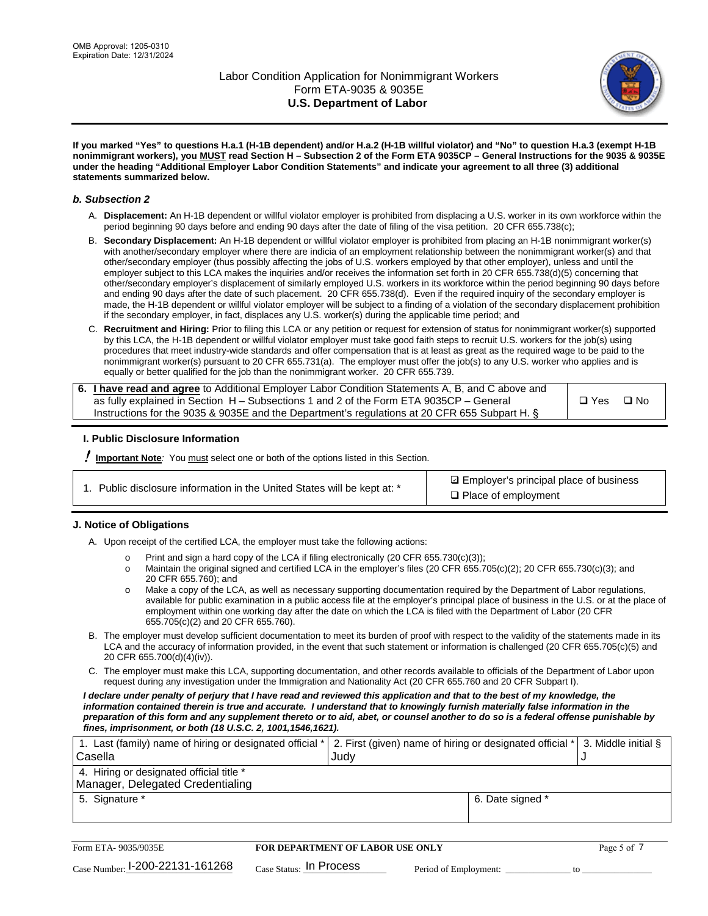

**If you marked "Yes" to questions H.a.1 (H-1B dependent) and/or H.a.2 (H-1B willful violator) and "No" to question H.a.3 (exempt H-1B nonimmigrant workers), you MUST read Section H – Subsection 2 of the Form ETA 9035CP – General Instructions for the 9035 & 9035E under the heading "Additional Employer Labor Condition Statements" and indicate your agreement to all three (3) additional statements summarized below.**

### *b. Subsection 2*

- A. **Displacement:** An H-1B dependent or willful violator employer is prohibited from displacing a U.S. worker in its own workforce within the period beginning 90 days before and ending 90 days after the date of filing of the visa petition. 20 CFR 655.738(c);
- B. **Secondary Displacement:** An H-1B dependent or willful violator employer is prohibited from placing an H-1B nonimmigrant worker(s) with another/secondary employer where there are indicia of an employment relationship between the nonimmigrant worker(s) and that other/secondary employer (thus possibly affecting the jobs of U.S. workers employed by that other employer), unless and until the employer subject to this LCA makes the inquiries and/or receives the information set forth in 20 CFR 655.738(d)(5) concerning that other/secondary employer's displacement of similarly employed U.S. workers in its workforce within the period beginning 90 days before and ending 90 days after the date of such placement. 20 CFR 655.738(d). Even if the required inquiry of the secondary employer is made, the H-1B dependent or willful violator employer will be subject to a finding of a violation of the secondary displacement prohibition if the secondary employer, in fact, displaces any U.S. worker(s) during the applicable time period; and
- C. **Recruitment and Hiring:** Prior to filing this LCA or any petition or request for extension of status for nonimmigrant worker(s) supported by this LCA, the H-1B dependent or willful violator employer must take good faith steps to recruit U.S. workers for the job(s) using procedures that meet industry-wide standards and offer compensation that is at least as great as the required wage to be paid to the nonimmigrant worker(s) pursuant to 20 CFR 655.731(a). The employer must offer the job(s) to any U.S. worker who applies and is equally or better qualified for the job than the nonimmigrant worker. 20 CFR 655.739.

| 6. I have read and agree to Additional Employer Labor Condition Statements A, B, and C above and |       |           |
|--------------------------------------------------------------------------------------------------|-------|-----------|
| as fully explained in Section H – Subsections 1 and 2 of the Form ETA 9035CP – General           | □ Yes | $\Box$ No |
| Instructions for the 9035 & 9035 E and the Department's regulations at 20 CFR 655 Subpart H. §   |       |           |

### **I. Public Disclosure Information**

! **Important Note***:* You must select one or both of the options listed in this Section.

| 1. Public disclosure information in the United States will be kept at: * |  |  |  |  |  |  |  |
|--------------------------------------------------------------------------|--|--|--|--|--|--|--|
|--------------------------------------------------------------------------|--|--|--|--|--|--|--|

**sqrt** Employer's principal place of business □ Place of employment

### **J. Notice of Obligations**

A. Upon receipt of the certified LCA, the employer must take the following actions:

- o Print and sign a hard copy of the LCA if filing electronically (20 CFR 655.730(c)(3));<br>
Maintain the original signed and certified LCA in the employer's files (20 CFR 655.7
- Maintain the original signed and certified LCA in the employer's files (20 CFR 655.705(c)(2); 20 CFR 655.730(c)(3); and 20 CFR 655.760); and
- o Make a copy of the LCA, as well as necessary supporting documentation required by the Department of Labor regulations, available for public examination in a public access file at the employer's principal place of business in the U.S. or at the place of employment within one working day after the date on which the LCA is filed with the Department of Labor (20 CFR 655.705(c)(2) and 20 CFR 655.760).
- B. The employer must develop sufficient documentation to meet its burden of proof with respect to the validity of the statements made in its LCA and the accuracy of information provided, in the event that such statement or information is challenged (20 CFR 655.705(c)(5) and 20 CFR 655.700(d)(4)(iv)).
- C. The employer must make this LCA, supporting documentation, and other records available to officials of the Department of Labor upon request during any investigation under the Immigration and Nationality Act (20 CFR 655.760 and 20 CFR Subpart I).

*I declare under penalty of perjury that I have read and reviewed this application and that to the best of my knowledge, the*  information contained therein is true and accurate. I understand that to knowingly furnish materially false information in the *preparation of this form and any supplement thereto or to aid, abet, or counsel another to do so is a federal offense punishable by fines, imprisonment, or both (18 U.S.C. 2, 1001,1546,1621).*

| 1. Last (family) name of hiring or designated official *   2. First (given) name of hiring or designated official *   3. Middle initial § |                  |  |
|-------------------------------------------------------------------------------------------------------------------------------------------|------------------|--|
| Casella                                                                                                                                   | Judv             |  |
| 4. Hiring or designated official title *                                                                                                  |                  |  |
| Manager, Delegated Credentialing                                                                                                          |                  |  |
| 5. Signature *                                                                                                                            | 6. Date signed * |  |
|                                                                                                                                           |                  |  |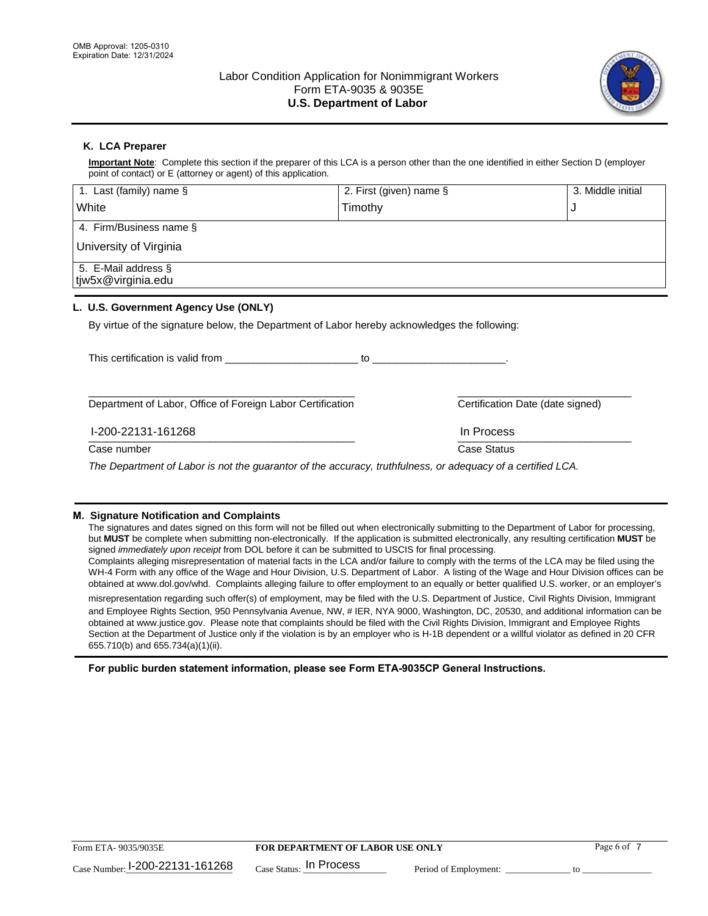

# **K. LCA Preparer**

**Important Note**: Complete this section if the preparer of this LCA is a person other than the one identified in either Section D (employer point of contact) or E (attorney or agent) of this application.

| 1. Last (family) name $\S$                                                                   | 2. First (given) name §                                                                                                                                                                                                        |                                  | 3. Middle initial |
|----------------------------------------------------------------------------------------------|--------------------------------------------------------------------------------------------------------------------------------------------------------------------------------------------------------------------------------|----------------------------------|-------------------|
| White                                                                                        | Timothy                                                                                                                                                                                                                        |                                  | J                 |
| 4. Firm/Business name §                                                                      |                                                                                                                                                                                                                                |                                  |                   |
| University of Virginia                                                                       |                                                                                                                                                                                                                                |                                  |                   |
| 5. E-Mail address §<br>tjw5x@virginia.edu                                                    |                                                                                                                                                                                                                                |                                  |                   |
| L. U.S. Government Agency Use (ONLY)                                                         |                                                                                                                                                                                                                                |                                  |                   |
| By virtue of the signature below, the Department of Labor hereby acknowledges the following: |                                                                                                                                                                                                                                |                                  |                   |
| This certification is valid from This certification is valid from                            | to the contract of the contract of the contract of the contract of the contract of the contract of the contract of the contract of the contract of the contract of the contract of the contract of the contract of the contrac |                                  |                   |
|                                                                                              |                                                                                                                                                                                                                                |                                  |                   |
| Department of Labor, Office of Foreign Labor Certification                                   |                                                                                                                                                                                                                                | Certification Date (date signed) |                   |

#### $\frac{117200 - 221131 - 101200}{111110000}$ I-200-22131-161268 In Process

Case number **Case Status** Case Status **Case Status** 

*The Department of Labor is not the guarantor of the accuracy, truthfulness, or adequacy of a certified LCA.*

### **M. Signature Notification and Complaints**

The signatures and dates signed on this form will not be filled out when electronically submitting to the Department of Labor for processing, but **MUST** be complete when submitting non-electronically. If the application is submitted electronically, any resulting certification **MUST** be signed *immediately upon receipt* from DOL before it can be submitted to USCIS for final processing.

Complaints alleging misrepresentation of material facts in the LCA and/or failure to comply with the terms of the LCA may be filed using the WH-4 Form with any office of the Wage and Hour Division, U.S. Department of Labor. A listing of the Wage and Hour Division offices can be obtained at www.dol.gov/whd. Complaints alleging failure to offer employment to an equally or better qualified U.S. worker, or an employer's

misrepresentation regarding such offer(s) of employment, may be filed with the U.S. Department of Justice, Civil Rights Division, Immigrant and Employee Rights Section, 950 Pennsylvania Avenue, NW, # IER, NYA 9000, Washington, DC, 20530, and additional information can be obtained at www.justice.gov. Please note that complaints should be filed with the Civil Rights Division, Immigrant and Employee Rights Section at the Department of Justice only if the violation is by an employer who is H-1B dependent or a willful violator as defined in 20 CFR 655.710(b) and 655.734(a)(1)(ii).

**For public burden statement information, please see Form ETA-9035CP General Instructions.**

| Form ETA-9035/9035E             | <b>FOR DEPARTMENT OF LABOR USE ONLY</b> |                       | Page 6 of |
|---------------------------------|-----------------------------------------|-----------------------|-----------|
| Case Number: 1-200-22131-161268 | $_{\text{Case Status:}}$ In Process     | Period of Employment: |           |